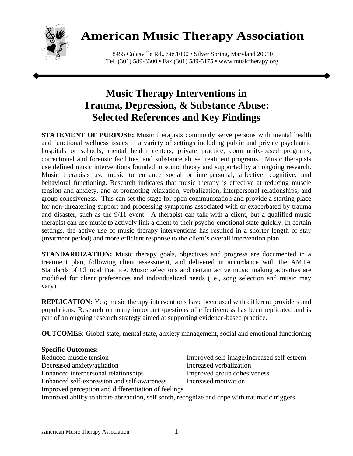

# **American Music Therapy Association**

8455 Colesville Rd., Ste.1000 • Silver Spring, Maryland 20910 Tel. (301) 589-3300 • Fax (301) 589-5175 • www.musictherapy.org

# **Music Therapy Interventions in Trauma, Depression, & Substance Abuse: Selected References and Key Findings**

**STATEMENT OF PURPOSE:** Music therapists commonly serve persons with mental health and functional wellness issues in a variety of settings including public and private psychiatric hospitals or schools, mental health centers, private practice, community-based programs, correctional and forensic facilities, and substance abuse treatment programs. Music therapists use defined music interventions founded in sound theory and supported by an ongoing research. Music therapists use music to enhance social or interpersonal, affective, cognitive, and behavioral functioning. Research indicates that music therapy is effective at reducing muscle tension and anxiety, and at promoting relaxation, verbalization, interpersonal relationships, and group cohesiveness. This can set the stage for open communication and provide a starting place for non-threatening support and processing symptoms associated with or exacerbated by trauma and disaster, such as the 9/11 event. A therapist can talk with a client, but a qualified music therapist can use music to actively link a client to their psycho-emotional state quickly. In certain settings, the active use of music therapy interventions has resulted in a shorter length of stay (treatment period) and more efficient response to the client's overall intervention plan.

**STANDARDIZATION:** Music therapy goals, objectives and progress are documented in a treatment plan, following client assessment, and delivered in accordance with the AMTA Standards of Clinical Practice. Music selections and certain active music making activities are modified for client preferences and individualized needs (i.e., song selection and music may vary).

**REPLICATION:** Yes; music therapy interventions have been used with different providers and populations. Research on many important questions of effectiveness has been replicated and is part of an ongoing research strategy aimed at supporting evidence-based practice.

**OUTCOMES:** Global state, mental state, anxiety management, social and emotional functioning

### **Specific Outcomes:**

Reduced muscle tension Improved self-image/Increased self-esteem Decreased anxiety/agitation Increased verbalization Enhanced interpersonal relationships Improved group cohesiveness Enhanced self-expression and self-awareness Increased motivation Improved perception and differentiation of feelings Improved ability to titrate abreaction, self sooth, recognize and cope with traumatic triggers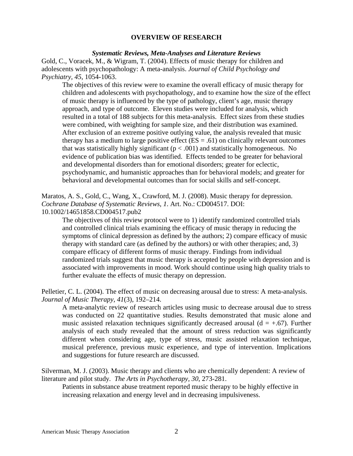#### **OVERVIEW OF RESEARCH**

#### *Systematic Reviews, Meta-Analyses and Literature Reviews*

Gold, C., Voracek, M., & Wigram, T. (2004). Effects of music therapy for children and adolescents with psychopathology: A meta-analysis. *Journal of Child Psychology and Psychiatry, 45*, 1054-1063.

The objectives of this review were to examine the overall efficacy of music therapy for children and adolescents with psychopathology, and to examine how the size of the effect of music therapy is influenced by the type of pathology, client's age, music therapy approach, and type of outcome. Eleven studies were included for analysis, which resulted in a total of 188 subjects for this meta-analysis. Effect sizes from these studies were combined, with weighting for sample size, and their distribution was examined. After exclusion of an extreme positive outlying value, the analysis revealed that music therapy has a medium to large positive effect  $(ES = .61)$  on clinically relevant outcomes that was statistically highly significant  $(p < .001)$  and statistically homogeneous. No evidence of publication bias was identified. Effects tended to be greater for behavioral and developmental disorders than for emotional disorders; greater for eclectic, psychodynamic, and humanistic approaches than for behavioral models; and greater for behavioral and developmental outcomes than for social skills and self-concept.

Maratos, A. S., Gold, C., Wang, X., Crawford, M. J. (2008). Music therapy for depression. *Cochrane Database of Systematic Reviews*, *1*. Art. No.: CD004517. DOI: 10.1002/14651858.CD004517.pub2

The objectives of this review protocol were to 1) identify randomized controlled trials and controlled clinical trials examining the efficacy of music therapy in reducing the symptoms of clinical depression as defined by the authors; 2) compare efficacy of music therapy with standard care (as defined by the authors) or with other therapies; and, 3) compare efficacy of different forms of music therapy. Findings from individual randomized trials suggest that music therapy is accepted by people with depression and is associated with improvements in mood. Work should continue using high quality trials to further evaluate the effects of music therapy on depression.

Pelletier, C. L. (2004). The effect of music on decreasing arousal due to stress: A meta-analysis. *Journal of Music Therapy, 41*(3), 192–214.

A meta-analytic review of research articles using music to decrease arousal due to stress was conducted on 22 quantitative studies. Results demonstrated that music alone and music assisted relaxation techniques significantly decreased arousal ( $d = +0.67$ ). Further analysis of each study revealed that the amount of stress reduction was significantly different when considering age, type of stress, music assisted relaxation technique, musical preference, previous music experience, and type of intervention. Implications and suggestions for future research are discussed.

Silverman, M. J. (2003). Music therapy and clients who are chemically dependent: A review of literature and pilot study*. The Arts in Psychotherapy, 30*, 273-281.

Patients in substance abuse treatment reported music therapy to be highly effective in increasing relaxation and energy level and in decreasing impulsiveness.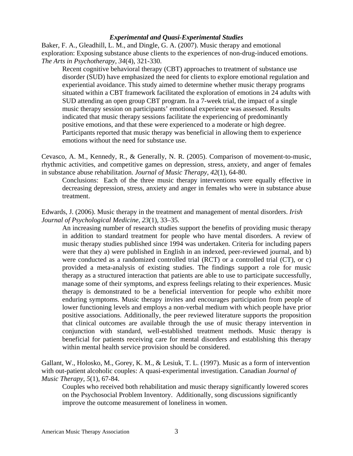## *Experimental and Quasi-Experimental Studies*

Baker, F. A., Gleadhill, L. M., and Dingle, G. A. (2007). Music therapy and emotional exploration: Exposing substance abuse clients to the experiences of non-drug-induced emotions. *The Arts in Psychotherapy, 34*(4), 321-330.

Recent cognitive behavioral therapy (CBT) approaches to treatment of substance use disorder (SUD) have emphasized the need for clients to explore emotional regulation and experiential avoidance. This study aimed to determine whether music therapy programs situated within a CBT framework facilitated the exploration of emotions in 24 adults with SUD attending an open group CBT program. In a 7-week trial, the impact of a single music therapy session on participants' emotional experience was assessed. Results indicated that music therapy sessions facilitate the experiencing of predominantly positive emotions, and that these were experienced to a moderate or high degree. Participants reported that music therapy was beneficial in allowing them to experience emotions without the need for substance use.

Cevasco, A. M., Kennedy, R., & Generally, N. R. (2005). Comparison of movement-to-music, rhythmic activities, and competitive games on depression, stress, anxiety, and anger of females in substance abuse rehabilitation. *Journal of Music Therapy, 42*(1), 64-80.

Conclusions: Each of the three music therapy interventions were equally effective in decreasing depression, stress, anxiety and anger in females who were in substance abuse treatment.

Edwards, J. (2006). Music therapy in the treatment and management of mental disorders. *Irish Journal of Psychological Medicine, 23*(1), 33–35.

An increasing number of research studies support the benefits of providing music therapy in addition to standard treatment for people who have mental disorders. A review of music therapy studies published since 1994 was undertaken. Criteria for including papers were that they a) were published in English in an indexed, peer-reviewed journal, and b) were conducted as a randomized controlled trial (RCT) or a controlled trial (CT), or c) provided a meta-analysis of existing studies. The findings support a role for music therapy as a structured interaction that patients are able to use to participate successfully, manage some of their symptoms, and express feelings relating to their experiences. Music therapy is demonstrated to be a beneficial intervention for people who exhibit more enduring symptoms. Music therapy invites and encourages participation from people of lower functioning levels and employs a non-verbal medium with which people have prior positive associations. Additionally, the peer reviewed literature supports the proposition that clinical outcomes are available through the use of music therapy intervention in conjunction with standard, well-established treatment methods. Music therapy is beneficial for patients receiving care for mental disorders and establishing this therapy within mental health service provision should be considered.

Gallant, W., Holosko, M., Gorey, K. M., & Lesiuk, T. L. (1997). Music as a form of intervention with out-patient alcoholic couples: A quasi-experimental investigation. Canadian *Journal of Music Therapy, 5*(1), 67-84.

Couples who received both rehabilitation and music therapy significantly lowered scores on the Psychosocial Problem Inventory. Additionally, song discussions significantly improve the outcome measurement of loneliness in women.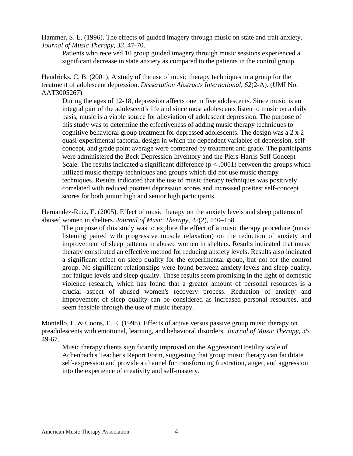Hammer, S. E. (1996). The effects of guided imagery through music on state and trait anxiety. *Journal of Music Therapy, 33*, 47-70.

Patients who received 10 group guided imagery through music sessions experienced a significant decrease in state anxiety as compared to the patients in the control group.

Hendricks, C. B. (2001). A study of the use of music therapy techniques in a group for the treatment of adolescent depression. *Dissertation Abstracts International, 62*(2-A). (UMI No. AAT3005267)

During the ages of 12-18, depression affects one in five adolescents. Since music is an integral part of the adolescent's life and since most adolescents listen to music on a daily basis, music is a viable source for alleviation of adolescent depression. The purpose of this study was to determine the effectiveness of adding music therapy techniques to cognitive behavioral group treatment for depressed adolescents. The design was a 2 x 2 quasi-experimental factorial design in which the dependent variables of depression, selfconcept, and grade point average were compared by treatment and grade. The participants were administered the Beck Depression Inventory and the Piers-Harris Self Concept Scale. The results indicated a significant difference ( $p < .0001$ ) between the groups which utilized music therapy techniques and groups which did not use music therapy techniques. Results indicated that the use of music therapy techniques was positively correlated with reduced posttest depression scores and increased posttest self-concept scores for both junior high and senior high participants.

Hernandez-Ruiz, E. (2005). Effect of music therapy on the anxiety levels and sleep patterns of abused women in shelters. *Journal of Music Therapy, 42*(2), 140–158.

The purpose of this study was to explore the effect of a music therapy procedure (music listening paired with progressive muscle relaxation) on the reduction of anxiety and improvement of sleep patterns in abused women in shelters. Results indicated that music therapy constituted an effective method for reducing anxiety levels. Results also indicated a significant effect on sleep quality for the experimental group, but not for the control group. No significant relationships were found between anxiety levels and sleep quality, nor fatigue levels and sleep quality. These results seem promising in the light of domestic violence research, which has found that a greater amount of personal resources is a crucial aspect of abused women's recovery process. Reduction of anxiety and improvement of sleep quality can be considered as increased personal resources, and seem feasible through the use of music therapy.

Montello, L. & Coons, E. E. (1998). Effects of active versus passive group music therapy on preadolescents with emotional, learning, and behavioral disorders*. Journal of Music Therapy, 35*, 49-67.

Music therapy clients significantly improved on the Aggression/Hostility scale of Achenbach's Teacher's Report Form, suggesting that group music therapy can facilitate self-expression and provide a channel for transforming frustration, anger, and aggression into the experience of creativity and self-mastery.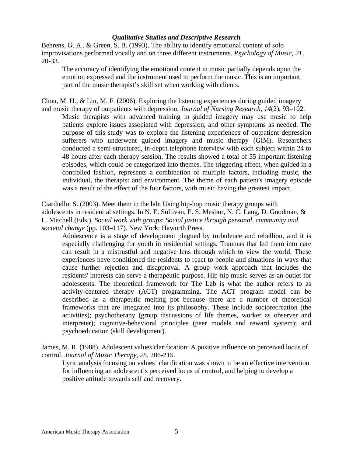### *Qualitative Studies and Descriptive Research*

Behrens, G. A., & Green, S. B. (1993). The ability to identify emotional content of solo improvisations performed vocally and on three different instruments. *Psychology of Music, 21*, 20-33.

The accuracy of identifying the emotional content in music partially depends upon the emotion expressed and the instrument used to perform the music. This is an important part of the music therapist's skill set when working with clients.

Chou, M. H., & Lin, M. F. (2006). Exploring the listening experiences during guided imagery and music therapy of outpatients with depression. *Journal of Nursing Research, 14*(2), 93–102.

Music therapists with advanced training in guided imagery may use music to help patients explore issues associated with depression, and other symptoms as needed. The purpose of this study was to explore the listening experiences of outpatient depression sufferers who underwent guided imagery and music therapy (GIM). Researchers conducted a semi-structured, in-depth telephone interview with each subject within 24 to 48 hours after each therapy session. The results showed a total of 55 important listening episodes, which could be categorized into themes. The triggering effect, when guided in a controlled fashion, represents a combination of multiple factors, including music, the individual, the therapist and environment. The theme of each patient's imagery episode was a result of the effect of the four factors, with music having the greatest impact.

Ciardiello, S. (2003). Meet them in the lab: Using hip-hop music therapy groups with adolescents in residential settings. In N. E. Sullivan, E. S. Mesbur, N. C. Lang, D. Goodman, & L. Mitchell (Eds.), *Social work with groups*: *Social justice through personal, community and societal change* (pp. 103–117). New York: Haworth Press.

Adolescence is a stage of development plagued by turbulence and rebellion, and it is especially challenging for youth in residential settings. Traumas that led them into care can result in a mistrustful and negative lens through which to view the world. These experiences have conditioned the residents to react to people and situations in ways that cause further rejection and disapproval. A group work approach that includes the residents' interests can serve a therapeutic purpose. Hip-hip music serves as an outlet for adolescents. The theoretical framework for The Lab is what the author refers to as activity-centered therapy (ACT) programming. The ACT program model can be described as a therapeutic melting pot because there are a number of theoretical frameworks that are integrated into its philosophy. These include sociorecreation (the activities); psychotherapy (group discussions of life themes, worker as observer and interpreter); cognitive-behavioral principles (peer models and reward system); and psychoeducation (skill development).

James, M. R. (1988). Adolescent values clarification: A positive influence on perceived locus of control. *Journal of Music Therapy, 25*, 206-215.

Lyric analysis focusing on values' clarification was shown to be an effective intervention for influencing an adolescent's perceived locus of control, and helping to develop a positive attitude towards self and recovery.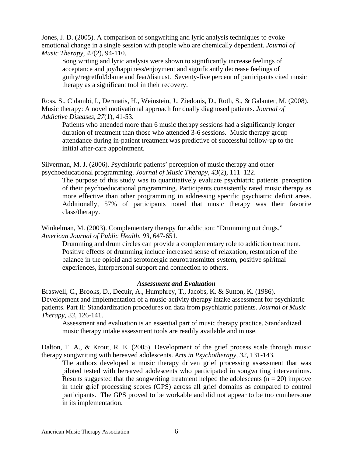Jones, J. D. (2005). A comparison of songwriting and lyric analysis techniques to evoke emotional change in a single session with people who are chemically dependent. *Journal of Music Therapy, 42*(2), 94-110.

Song writing and lyric analysis were shown to significantly increase feelings of acceptance and joy/happiness/enjoyment and significantly decrease feelings of guilty/regretful/blame and fear/distrust. Seventy-five percent of participants cited music therapy as a significant tool in their recovery.

Ross, S., Cidambi, I., Dermatis, H., Weinstein, J., Ziedonis, D., Roth, S., & Galanter, M. (2008). Music therapy: A novel motivational approach for dually diagnosed patients. *Journal of Addictive Diseases, 27*(1), 41-53.

Patients who attended more than 6 music therapy sessions had a significantly longer duration of treatment than those who attended 3-6 sessions. Music therapy group attendance during in-patient treatment was predictive of successful follow-up to the initial after-care appointment.

Silverman, M. J. (2006). Psychiatric patients' perception of music therapy and other psychoeducational programming. *Journal of Music Therapy, 43*(2), 111–122.

The purpose of this study was to quantitatively evaluate psychiatric patients' perception of their psychoeducational programming. Participants consistently rated music therapy as more effective than other programming in addressing specific psychiatric deficit areas. Additionally, 57% of participants noted that music therapy was their favorite class/therapy.

Winkelman, M. (2003). Complementary therapy for addiction: "Drumming out drugs." *American Journal of Public Health, 93*, 647-651.

Drumming and drum circles can provide a complementary role to addiction treatment. Positive effects of drumming include increased sense of relaxation, restoration of the balance in the opioid and serotonergic neurotransmitter system, positive spiritual experiences, interpersonal support and connection to others.

### *Assessment and Evaluation*

Braswell, C., Brooks, D., Decuir, A., Humphrey, T., Jacobs, K. & Sutton, K. (1986). Development and implementation of a music-activity therapy intake assessment for psychiatric patients. Part II: Standardization procedures on data from psychiatric patients. *Journal of Music Therapy, 23*, 126-141.

Assessment and evaluation is an essential part of music therapy practice. Standardized music therapy intake assessment tools are readily available and in use.

Dalton, T. A., & Krout, R. E. (2005). Development of the grief process scale through music therapy songwriting with bereaved adolescents. *Arts in Psychotherapy, 32*, 131-143.

The authors developed a music therapy driven grief processing assessment that was piloted tested with bereaved adolescents who participated in songwriting interventions. Results suggested that the songwriting treatment helped the adolescents  $(n = 20)$  improve in their grief processing scores (GPS) across all grief domains as compared to control participants. The GPS proved to be workable and did not appear to be too cumbersome in its implementation.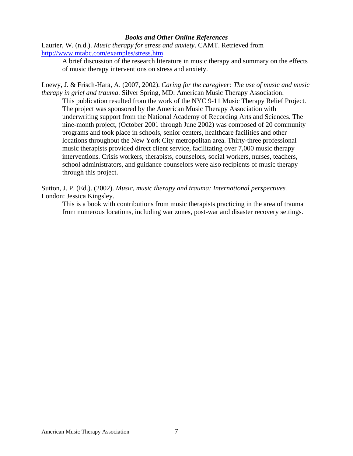#### *Books and Other Online References*

Laurier, W. (n.d.). *Music therapy for stress and anxiety*. CAMT. Retrieved from <http://www.mtabc.com/examples/stress.htm>

A brief discussion of the research literature in music therapy and summary on the effects of music therapy interventions on stress and anxiety.

Loewy, J. & Frisch-Hara, A. (2007, 2002). *Caring for the caregiver: The use of music and music therapy in grief and trauma*. Silver Spring, MD: American Music Therapy Association.

This publication resulted from the work of the NYC 9-11 Music Therapy Relief Project. The project was sponsored by the American Music Therapy Association with underwriting support from the National Academy of Recording Arts and Sciences. The nine-month project, (October 2001 through June 2002) was composed of 20 community programs and took place in schools, senior centers, healthcare facilities and other locations throughout the New York City metropolitan area. Thirty-three professional music therapists provided direct client service, facilitating over 7,000 music therapy interventions. Crisis workers, therapists, counselors, social workers, nurses, teachers, school administrators, and guidance counselors were also recipients of music therapy through this project.

Sutton, J. P. (Ed.). (2002). *Music, music therapy and trauma: International perspectives.* London: Jessica Kingsley.

This is a book with contributions from music therapists practicing in the area of trauma from numerous locations, including war zones, post-war and disaster recovery settings.